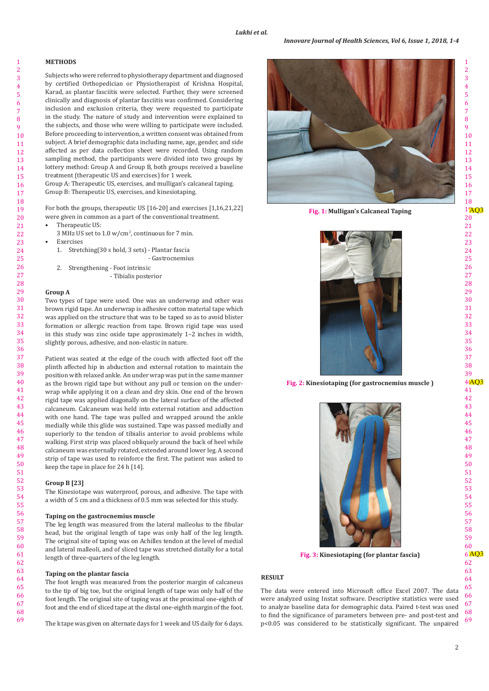# **METHODS**

Subjects who were referred to physiotherapy department and diagnosed by certified Orthopedician or Physiotherapist of Krishna Hospital, Karad, as plantar fasciitis were selected. Further, they were screened clinically and diagnosis of plantar fasciitis was confirmed. Considering inclusion and exclusion criteria, they were requested to participate in the study. The nature of study and intervention were explained to the subjects, and those who were willing to participate were included. Before proceeding to intervention, a written consent was obtained from subject. A brief demographic data including name, age, gender, and side affected as per data collection sheet were recorded. Using random sampling method, the participants were divided into two groups by lottery method: Group A and Group B, both groups received a baseline treatment (therapeutic US and exercises) for 1 week.

Group A: Therapeutic US, exercises, and mulligan's calcaneal taping. Group B: Therapeutic US, exercises, and kinesiotaping.

For both the groups, therapeutic US [16-20] and exercises [1,16,21,22] were given in common as a part of the conventional treatment.

- Therapeutic US:
	- 3 MHz US set to 1.0 w/cm<sup>2</sup>, continuous for 7 min.
	- **Exercises**
	- 1. Stretching(30 s hold, 3 sets) Plantar fascia - Gastrocnemius
	- 2. Strengthening Foot intrinsic
		- Tibialis posterior

# **Group A**

Two types of tape were used. One was an underwrap and other was brown rigid tape. An underwrap is adhesive cotton material tape which was applied on the structure that was to be taped so as to avoid blister formation or allergic reaction from tape. Brown rigid tape was used in this study was zinc oxide tape approximately 1–2 inches in width, slightly porous, adhesive, and non-elastic in nature.

Patient was seated at the edge of the couch with affected foot off the plinth affected hip in abduction and external rotation to maintain the position with relaxed ankle. An under wrap was put in the same manner as the brown rigid tape but without any pull or tension on the underwrap while applying it on a clean and dry skin. One end of the brown rigid tape was applied diagonally on the lateral surface of the affected calcaneum. Calcaneum was held into external rotation and adduction with one hand. The tape was pulled and wrapped around the ankle medially while this glide was sustained. Tape was passed medially and superiorly to the tendon of tibialis anterior to avoid problems while walking. First strip was placed obliquely around the back of heel while calcaneum was externally rotated, extended around lower leg. A second strip of tape was used to reinforce the first. The patient was asked to keep the tape in place for 24 h [14].

# **Group B [23]**

The Kinesiotape was waterproof, porous, and adhesive. The tape with a width of 5 cm and a thickness of 0.5 mm was selected for this study.

## **Taping on the gastrocnemius muscle**

The leg length was measured from the lateral malleolus to the fibular head, but the original length of tape was only half of the leg length. The original site of taping was on Achilles tendon at the level of medial and lateral malleoli, and of sliced tape was stretched distally for a total length of three-quarters of the leg length.

#### **Taping on the plantar fascia**

The foot length was measured from the posterior margin of calcaneus to the tip of big toe, but the original length of tape was only half of the foot length. The original site of taping was at the proximal one-eighth of foot and the end of sliced tape at the distal one-eighth margin of the foot.

The k tape was given on alternate days for 1 week and US daily for 6 days.



**Fig. 1: Mulligan's Calcaneal Taping** 



Fig. 2: Kinesiotaping (for gastrocnemius muscle )



Fig. 3: Kinesiotaping (for plantar fascia)

# **RESULT**

 The data were entered into Microsoft office Excel 2007. The data were analyzed using Instat software. Descriptive statistics were used to analyze baseline data for demographic data. Paired t-test was used to find the significance of parameters between pre- and post-test and p<0.05 was considered to be statistically significant. The unpaired

 $\overline{2}$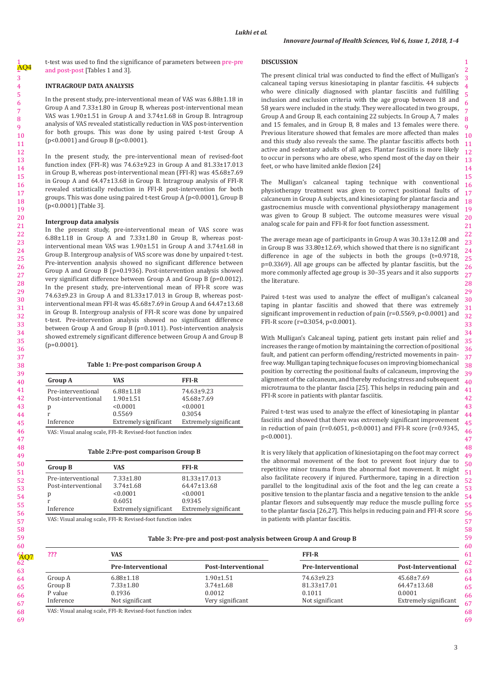t-test was used to find the significance of parameters between pre-pre and post-post [Tables 1 and 3].

### **INTRAGROUP DATA ANALYSIS**

In the present study, pre-interventional mean of VAS was 6.88±1.18 in Group A and 7.33±1.80 in Group B, whereas post-interventional mean VAS was 1.90±1.51 in Group A and 3.74±1.68 in Group B. Intragroup analysis of VAS revealed statistically reduction in VAS post-intervention for both groups. This was done by using paired t-test Group A (p<0.0001) and Group B (p<0.0001).

In the present study, the pre-interventional mean of revised-foot function index (FFI-R) was 74.63±9.23 in Group A and 81.33±17.013 in Group B, whereas post-interventional mean (FFI-R) was 45.68±7.69 in Group A and 64.47±13.68 in Group B. Intragroup analysis of FFI-R revealed statistically reduction in FFI-R post-intervention for both groups. This was done using paired t-test Group A (p<0.0001), Group B (p<0.0001) [Table 3].

#### **Intergroup data analysis**

In the present study, pre-interventional mean of VAS score was 6.88±1.18 in Group A and 7.33±1.80 in Group B, whereas postinterventional mean VAS was 1.90±1.51 in Group A and 3.74±1.68 in Group B. Intergroup analysis of VAS score was done by unpaired t-test. Pre-intervention analysis showed no significant difference between Group A and Group B (p=0.1936). Post-intervention analysis showed very significant difference between Group A and Group B (p=0.0012). In the present study, pre-interventional mean of FFI-R score was 74.63±9.23 in Group A and 81.33±17.013 in Group B, whereas postinterventional mean FFI-R was 45.68±7.69 in Group A and 64.47±13.68 in Group B. Intergroup analysis of FFI-R score was done by unpaired t-test. Pre-intervention analysis showed no significant difference between Group A and Group B (p=0.1011). Post-intervention analysis showed extremely significant difference between Group A and Group B  $(p=0.0001)$ .

### **Table 1: Pre‑post comparison Group A**

| <b>Group A</b>      | VAS                   | <b>FFI-R</b>          |
|---------------------|-----------------------|-----------------------|
| Pre-interventional  | $6.88 \pm 1.18$       | 74.63±9.23            |
| Post-interventional | $1.90 \pm 1.51$       | $45.68 \pm 7.69$      |
| р                   | < 0.0001              | < 0.0001              |
|                     | 0.5569                | 0.3054                |
| Inference           | Extremely significant | Extremely significant |

VAS: Visual analog scale, FFI-R: Revised-foot function index

#### **Table 2:Pre‑post comparison Group B**

| <b>Group B</b>      | <b>VAS</b>            | <b>FFI-R</b>          |
|---------------------|-----------------------|-----------------------|
| Pre-interventional  | $7.33 \pm 1.80$       | $81.33 \pm 17.013$    |
| Post-interventional | $3.74 \pm 1.68$       | 64.47±13.68           |
| р                   | < 0.0001              | < 0.0001              |
|                     | 0.6051                | 0.9345                |
| Inference           | Extremely significant | Extremely significant |

VAS: Visual analog scale, FFI-R: Revised-foot function index

#### **DISCUSSION**

The present clinical trial was conducted to find the effect of Mulligan's calcaneal taping versus kinesiotaping in plantar fasciitis. 44 subjects who were clinically diagnosed with plantar fasciitis and fulfilling inclusion and exclusion criteria with the age group between 18 and 58 years were included in the study. They were allocated in two groups, Group A and Group B, each containing 22 subjects. In Group A, 7 males and 15 females, and in Group B, 8 males and 13 females were there. Previous literature showed that females are more affected than males and this study also reveals the same. The plantar fasciitis affects both active and sedentary adults of all ages. Plantar fasciitis is more likely to occur in persons who are obese, who spend most of the day on their feet, or who have limited ankle flexion [24]

The Mulligan's calcaneal taping technique with conventional physiotherapy treatment was given to correct positional faults of calcaneum in Group A subjects, and kinesiotaping for plantar fascia and gastrocnemius muscle with conventional physiotherapy management was given to Group B subject. The outcome measures were visual analog scale for pain and FFI-R for foot function assessment.

The average mean age of participants in Group A was 30.13±12.08 and in Group B was 33.80±12.69, which showed that there is no significant difference in age of the subjects in both the groups (t=0.9718, p=0.3369). All age groups can be affected by plantar fasciitis, but the more commonly affected age group is 30–35 years and it also supports the literature.

Paired t-test was used to analyze the effect of mulligan's calcaneal taping in plantar fasciitis and showed that there was extremely significant improvement in reduction of pain (r=0.5569, p<0.0001) and FFI-R score (r=0.3054, p<0.0001).

With Mulligan's Calcaneal taping, patient gets instant pain relief and increases the range of motion by maintaining the correction of positional fault, and patient can perform offending/restricted movements in painfree way. Mulligan taping technique focuses on improving biomechanical position by correcting the positional faults of calcaneum, improving the alignment of the calcaneum, and thereby reducing stress and subsequent microtrauma to the plantar fascia [25]. This helps in reducing pain and FFI-R score in patients with plantar fasciitis.

Paired t-test was used to analyze the effect of kinesiotaping in plantar fasciitis and showed that there was extremely significant improvement in reduction of pain ( $r=0.6051$ ,  $p<0.0001$ ) and FFI-R score ( $r=0.9345$ , p<0.0001).

It is very likely that application of kinesiotaping on the foot may correct the abnormal movement of the foot to prevent foot injury due to repetitive minor trauma from the abnormal foot movement. It might also facilitate recovery if injured. Furthermore, taping in a direction parallel to the longitudinal axis of the foot and the leg can create a positive tension to the plantar fascia and a negative tension to the ankle plantar flexors and subsequently may reduce the muscle pulling force to the plantar fascia [26,27]. This helps in reducing pain and FFI-R score in patients with plantar fasciitis.

### **Table 3: Pre‑pre and post‑post analysis between Group A and Group B**

| ???       | VAS                |                     | <b>FFI-R</b>       |                       |
|-----------|--------------------|---------------------|--------------------|-----------------------|
|           | Pre-Interventional | Post-Interventional | Pre-Interventional | Post-Interventional   |
| Group A   | $6.88 \pm 1.18$    | $1.90 \pm 1.51$     | 74.63±9.23         | $45.68 \pm 7.69$      |
| Group B   | $7.33 \pm 1.80$    | $3.74 \pm 1.68$     | $81.33 \pm 17.01$  | 64.47±13.68           |
| P value   | 0.1936             | 0.0012              | 0.1011             | 0.0001                |
| Inference | Not significant    | Very significant    | Not significant    | Extremely significant |

VAS: Visual analog scale, FFI-R: Revised-foot function index

68 69